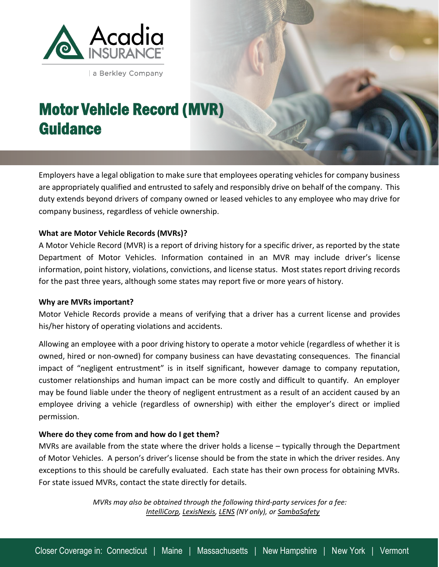

a Berkley Company

# Motor Vehicle Record (MVR) **Guidance**

Employers have a legal obligation to make sure that employees operating vehicles for company business are appropriately qualified and entrusted to safely and responsibly drive on behalf of the company. This duty extends beyond drivers of company owned or leased vehicles to any employee who may drive for company business, regardless of vehicle ownership.

## **What are Motor Vehicle Records (MVRs)?**

A Motor Vehicle Record (MVR) is a report of driving history for a specific driver, as reported by the state Department of Motor Vehicles. Information contained in an MVR may include driver's license information, point history, violations, convictions, and license status. Most states report driving records for the past three years, although some states may report five or more years of history.

## **Why are MVRs important?**

Motor Vehicle Records provide a means of verifying that a driver has a current license and provides his/her history of operating violations and accidents.

Allowing an employee with a poor driving history to operate a motor vehicle (regardless of whether it is owned, hired or non-owned) for company business can have devastating consequences. The financial impact of "negligent entrustment" is in itself significant, however damage to company reputation, customer relationships and human impact can be more costly and difficult to quantify. An employer may be found liable under the theory of negligent entrustment as a result of an accident caused by an employee driving a vehicle (regardless of ownership) with either the employer's direct or implied permission.

## **Where do they come from and how do I get them?**

MVRs are available from the state where the driver holds a license – typically through the Department of Motor Vehicles. A person's driver's license should be from the state in which the driver resides. Any exceptions to this should be carefully evaluated. Each state has their own process for obtaining MVRs. For state issued MVRs, contact the state directly for details.

> *MVRs may also be obtained through the following third-party services for a fee: [IntelliCorp,](https://www.intellicorp.net/marketing/Products/Driving-Records-(MVRs)) [LexisNexis,](https://risk.lexisnexis.com/products/motor-vehicle-records) [LENS](https://dmv.ny.gov/dmv-records/license-event-notification-service-lens) (NY only), or [SambaSafety](https://sambasafety.com/mvr/)*